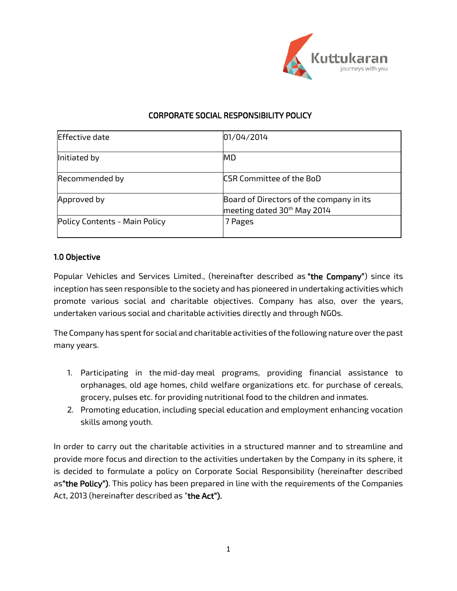

# CORPORATE SOCIAL RESPONSIBILITY POLICY

| Effective date                | 01/04/2014                                                                          |
|-------------------------------|-------------------------------------------------------------------------------------|
| Initiated by                  | IMD                                                                                 |
| Recommended by                | <b>CSR Committee of the BoD</b>                                                     |
| Approved by                   | Board of Directors of the company in its<br>meeting dated 30 <sup>th</sup> May 2014 |
| Policy Contents - Main Policy | 7 Pages                                                                             |

# 1.0 Objective

Popular Vehicles and Services Limited., (hereinafter described as "the Company") since its inception has seen responsible to the society and has pioneered in undertaking activities which promote various social and charitable objectives. Company has also, over the years, undertaken various social and charitable activities directly and through NGOs.

The Company has spent for social and charitable activities of the following nature over the past many years.

- 1. Participating in the mid-day meal programs, providing financial assistance to orphanages, old age homes, child welfare organizations etc. for purchase of cereals, grocery, pulses etc. for providing nutritional food to the children and inmates.
- 2. Promoting education, including special education and employment enhancing vocation skills among youth.

In order to carry out the charitable activities in a structured manner and to streamline and provide more focus and direction to the activities undertaken by the Company in its sphere, it is decided to formulate a policy on Corporate Social Responsibility (hereinafter described as"the Policy"). This policy has been prepared in line with the requirements of the Companies Act, 2013 (hereinafter described as "the Act").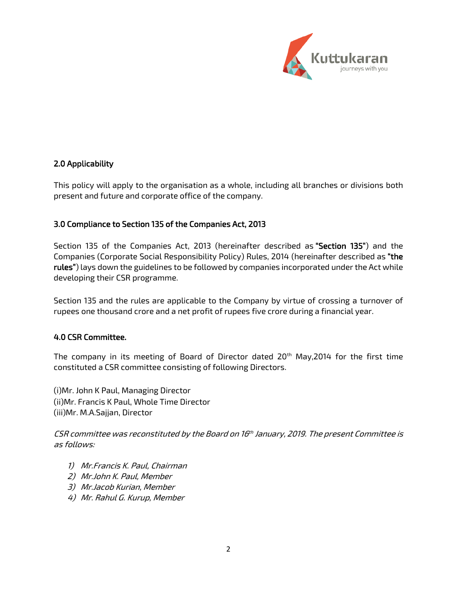

### 2.0 Applicability

This policy will apply to the organisation as a whole, including all branches or divisions both present and future and corporate office of the company.

#### 3.0 Compliance to Section 135 of the Companies Act, 2013

Section 135 of the Companies Act, 2013 (hereinafter described as "Section 135") and the Companies (Corporate Social Responsibility Policy) Rules, 2014 (hereinafter described as "the rules") lays down the guidelines to be followed by companies incorporated under the Act while developing their CSR programme.

Section 135 and the rules are applicable to the Company by virtue of crossing a turnover of rupees one thousand crore and a net profit of rupees five crore during a financial year.

#### 4.0 CSR Committee.

The company in its meeting of Board of Director dated 20<sup>th</sup> May,2014 for the first time constituted a CSR committee consisting of following Directors.

(i)Mr. John K Paul, Managing Director (ii)Mr. Francis K Paul, Whole Time Director (iii)Mr. M.A.Sajjan, Director

CSR committee was reconstituted by the Board on 16 th January, 2019. The present Committee is as follows:

- 1) Mr.Francis K. Paul, Chairman
- 2) Mr.John K. Paul, Member
- 3) Mr.Jacob Kurian, Member
- 4) Mr. Rahul G. Kurup, Member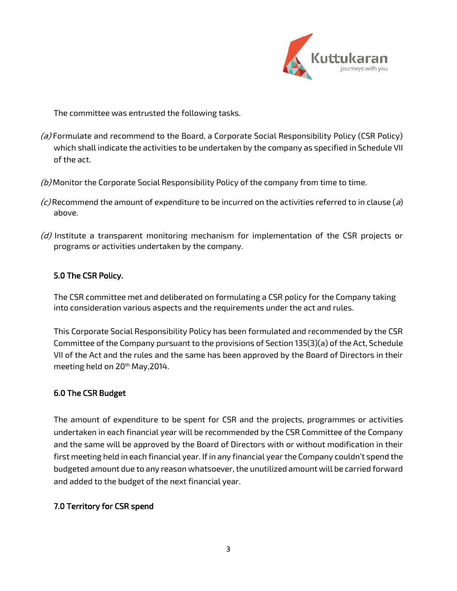

The committee was entrusted the following tasks.

- $(a)$  Formulate and recommend to the Board, a Corporate Social Responsibility Policy (CSR Policy) which shall indicate the activities to be undertaken by the company as specified in Schedule VII of the act.
- $(b)$  Monitor the Corporate Social Responsibility Policy of the company from time to time.
- (c) Recommend the amount of expenditure to be incurred on the activities referred to in clause (a) above.
- (d) Institute a transparent monitoring mechanism for implementation of the CSR projects or programs or activities undertaken by the company.

### 5.0 The CSR Policy.

The CSR committee met and deliberated on formulating a CSR policy for the Company taking into consideration various aspects and the requirements under the act and rules.

This Corporate Social Responsibility Policy has been formulated and recommended by the CSR Committee of the Company pursuant to the provisions of Section 135(3)(a) of the Act, Schedule VII of the Act and the rules and the same has been approved by the Board of Directors in their meeting held on 20<sup>th</sup> May, 2014.

# 6.0 The CSR Budget

The amount of expenditure to be spent for CSR and the projects, programmes or activities undertaken in each financial year will be recommended by the CSR Committee of the Company and the same will be approved by the Board of Directors with or without modification in their first meeting held in each financial year. If in any financial year the Company couldn't spend the budgeted amount due to any reason whatsoever, the unutilized amount will be carried forward and added to the budget of the next financial year.

# 7.0 Territory for CSR spend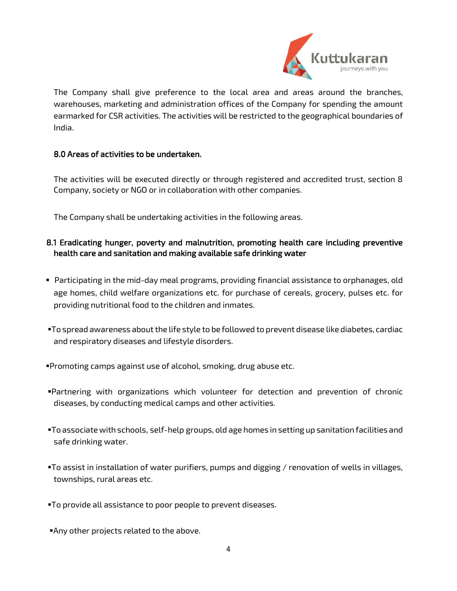

The Company shall give preference to the local area and areas around the branches, warehouses, marketing and administration offices of the Company for spending the amount earmarked for CSR activities. The activities will be restricted to the geographical boundaries of India.

### 8.0 Areas of activities to be undertaken.

The activities will be executed directly or through registered and accredited trust, section 8 Company, society or NGO or in collaboration with other companies.

The Company shall be undertaking activities in the following areas.

# 8.1 Eradicating hunger, poverty and malnutrition, promoting health care including preventive health care and sanitation and making available safe drinking water

- Participating in the mid-day meal programs, providing financial assistance to orphanages, old age homes, child welfare organizations etc. for purchase of cereals, grocery, pulses etc. for providing nutritional food to the children and inmates.
- To spread awareness about the life style to be followed to prevent disease like diabetes, cardiac and respiratory diseases and lifestyle disorders.
- Promoting camps against use of alcohol, smoking, drug abuse etc.
- Partnering with organizations which volunteer for detection and prevention of chronic diseases, by conducting medical camps and other activities.
- To associate with schools, self-help groups, old age homes in setting up sanitation facilities and safe drinking water.
- To assist in installation of water purifiers, pumps and digging / renovation of wells in villages, townships, rural areas etc.
- To provide all assistance to poor people to prevent diseases.
- Any other projects related to the above.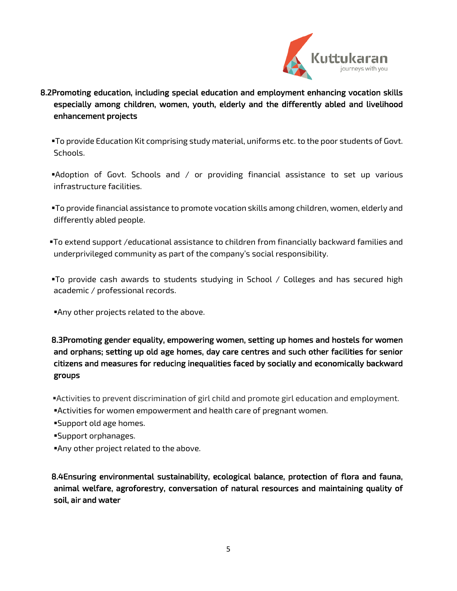

- 8.2Promoting education, including special education and employment enhancing vocation skills especially among children, women, youth, elderly and the differently abled and livelihood enhancement projects
	- To provide Education Kit comprising study material, uniforms etc. to the poor students of Govt. Schools.
	- Adoption of Govt. Schools and / or providing financial assistance to set up various infrastructure facilities.
	- To provide financial assistance to promote vocation skills among children, women, elderly and differently abled people.
	- To extend support /educational assistance to children from financially backward families and underprivileged community as part of the company's social responsibility.
	- To provide cash awards to students studying in School / Colleges and has secured high academic / professional records.
	- Any other projects related to the above.

 8.3Promoting gender equality, empowering women, setting up homes and hostels for women and orphans; setting up old age homes, day care centres and such other facilities for senior citizens and measures for reducing inequalities faced by socially and economically backward groups

- Activities to prevent discrimination of girl child and promote girl education and employment.
- Activities for women empowerment and health care of pregnant women.
- Support old age homes.
- Support orphanages.
- Any other project related to the above.

 8.4Ensuring environmental sustainability, ecological balance, protection of flora and fauna, animal welfare, agroforestry, conversation of natural resources and maintaining quality of soil, air and water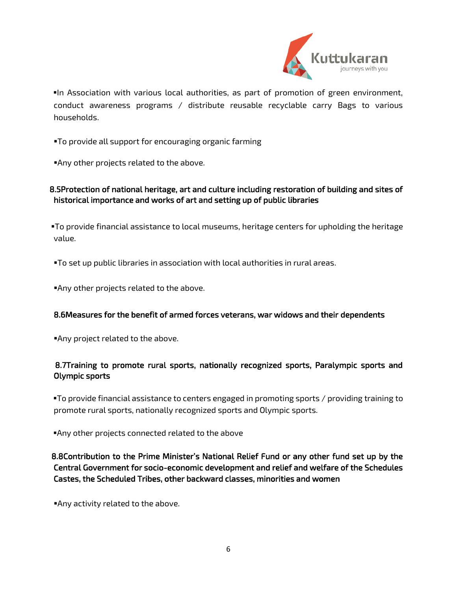

 In Association with various local authorities, as part of promotion of green environment, conduct awareness programs / distribute reusable recyclable carry Bags to various households.

- To provide all support for encouraging organic farming
- Any other projects related to the above.

# 8.5Protection of national heritage, art and culture including restoration of building and sites of historical importance and works of art and setting up of public libraries

 $\blacksquare$ To provide financial assistance to local museums, heritage centers for upholding the heritage value.

To set up public libraries in association with local authorities in rural areas.

Any other projects related to the above.

#### 8.6Measures for the benefit of armed forces veterans, war widows and their dependents

Any project related to the above.

# 8.7Training to promote rural sports, nationally recognized sports, Paralympic sports and Olympic sports

 To provide financial assistance to centers engaged in promoting sports / providing training to promote rural sports, nationally recognized sports and Olympic sports.

Any other projects connected related to the above

 8.8Contribution to the Prime Minister's National Relief Fund or any other fund set up by the Central Government for socio-economic development and relief and welfare of the Schedules Castes, the Scheduled Tribes, other backward classes, minorities and women

Any activity related to the above.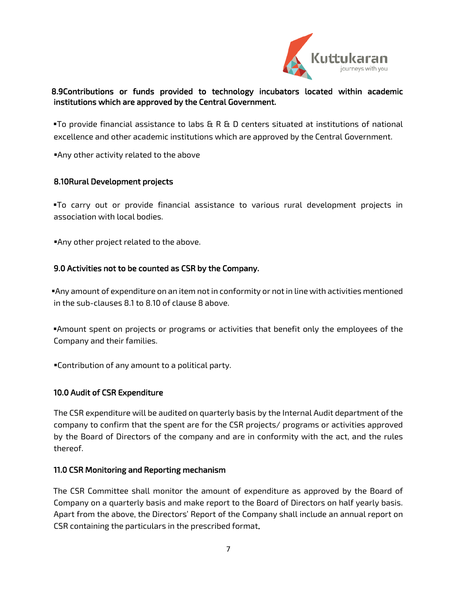

# 8.9Contributions or funds provided to technology incubators located within academic institutions which are approved by the Central Government.

To provide financial assistance to labs  $A \times B$  Centers situated at institutions of national excellence and other academic institutions which are approved by the Central Government.

Any other activity related to the above

# 8.10Rural Development projects

 To carry out or provide financial assistance to various rural development projects in association with local bodies.

Any other project related to the above.

# 9.0 Activities not to be counted as CSR by the Company.

 Any amount of expenditure on an item not in conformity or not in line with activities mentioned in the sub-clauses 8.1 to 8.10 of clause 8 above.

 Amount spent on projects or programs or activities that benefit only the employees of the Company and their families.

Contribution of any amount to a political party.

# 10.0 Audit of CSR Expenditure

The CSR expenditure will be audited on quarterly basis by the Internal Audit department of the company to confirm that the spent are for the CSR projects/ programs or activities approved by the Board of Directors of the company and are in conformity with the act, and the rules thereof.

#### 11.0 CSR Monitoring and Reporting mechanism

The CSR Committee shall monitor the amount of expenditure as approved by the Board of Company on a quarterly basis and make report to the Board of Directors on half yearly basis. Apart from the above, the Directors' Report of the Company shall include an annual report on CSR containing the particulars in the prescribed format.